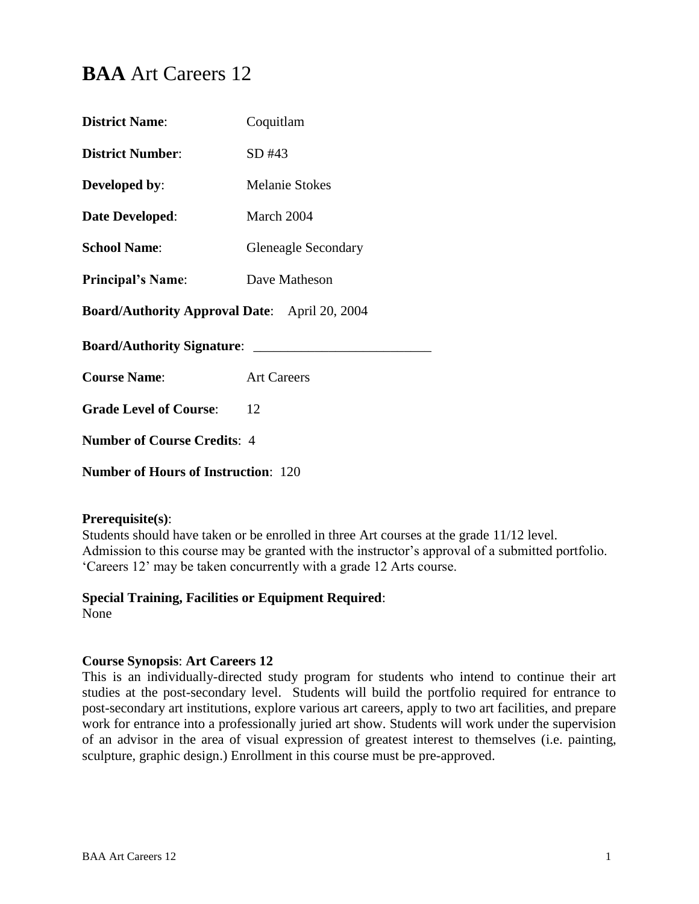# **BAA** Art Careers 12

| <b>District Name:</b>                                | Coquitlam                  |  |
|------------------------------------------------------|----------------------------|--|
| <b>District Number:</b>                              | SD #43                     |  |
| <b>Developed by:</b>                                 | <b>Melanie Stokes</b>      |  |
| Date Developed:                                      | March 2004                 |  |
| <b>School Name:</b>                                  | <b>Gleneagle Secondary</b> |  |
| <b>Principal's Name:</b>                             | Dave Matheson              |  |
| <b>Board/Authority Approval Date:</b> April 20, 2004 |                            |  |
| <b>Board/Authority Signature:</b>                    |                            |  |
| <b>Course Name:</b>                                  | <b>Art Careers</b>         |  |
| <b>Grade Level of Course:</b>                        | 12                         |  |
| <b>Number of Course Credits: 4</b>                   |                            |  |
| <b>Number of Hours of Instruction: 120</b>           |                            |  |

#### **Prerequisite(s)**:

Students should have taken or be enrolled in three Art courses at the grade 11/12 level. Admission to this course may be granted with the instructor's approval of a submitted portfolio. 'Careers 12' may be taken concurrently with a grade 12 Arts course.

# **Special Training, Facilities or Equipment Required**:

None

#### **Course Synopsis**: **Art Careers 12**

This is an individually-directed study program for students who intend to continue their art studies at the post-secondary level. Students will build the portfolio required for entrance to post-secondary art institutions, explore various art careers, apply to two art facilities, and prepare work for entrance into a professionally juried art show. Students will work under the supervision of an advisor in the area of visual expression of greatest interest to themselves (i.e. painting, sculpture, graphic design.) Enrollment in this course must be pre-approved.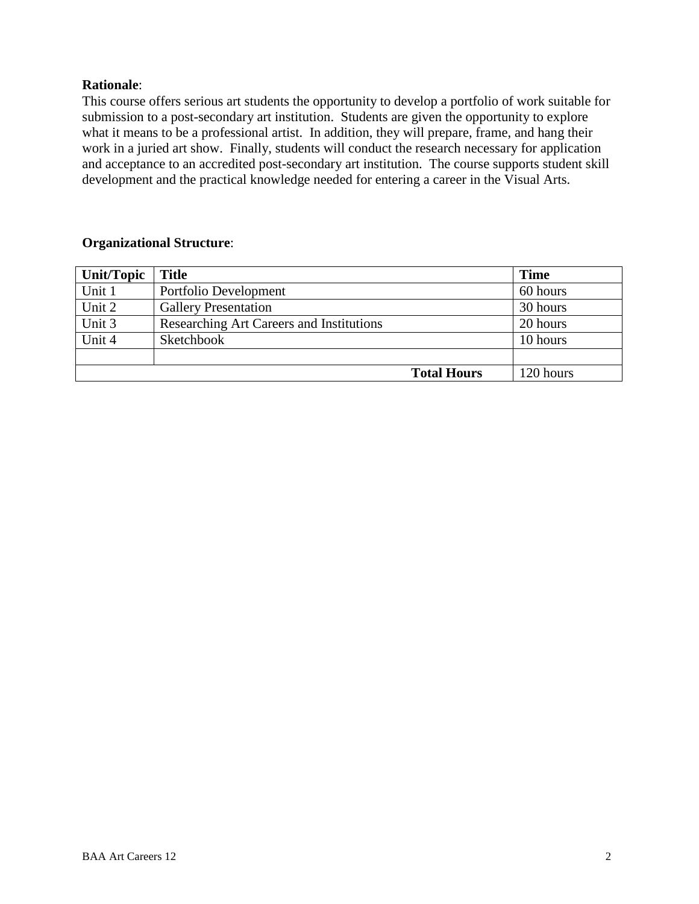# **Rationale**:

This course offers serious art students the opportunity to develop a portfolio of work suitable for submission to a post-secondary art institution. Students are given the opportunity to explore what it means to be a professional artist. In addition, they will prepare, frame, and hang their work in a juried art show. Finally, students will conduct the research necessary for application and acceptance to an accredited post-secondary art institution. The course supports student skill development and the practical knowledge needed for entering a career in the Visual Arts.

# **Organizational Structure**:

| Unit/Topic | <b>Title</b>                             | <b>Time</b> |
|------------|------------------------------------------|-------------|
| Unit 1     | Portfolio Development                    | 60 hours    |
| Unit 2     | <b>Gallery Presentation</b>              | 30 hours    |
| Unit 3     | Researching Art Careers and Institutions | 20 hours    |
| Unit 4     | Sketchbook                               | 10 hours    |
|            |                                          |             |
|            | <b>Total Hours</b>                       | 120 hours   |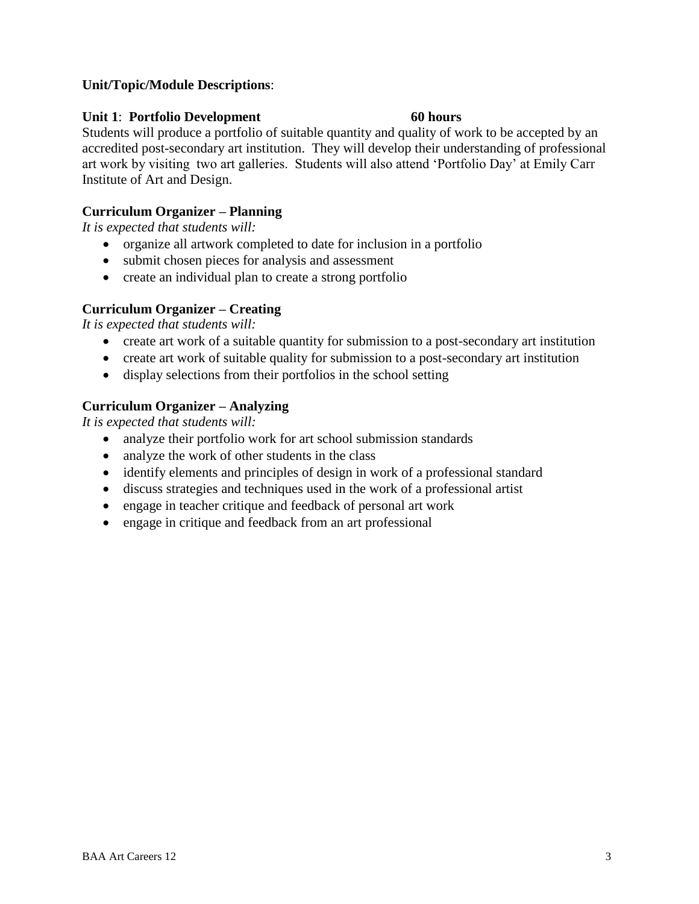# **Unit/Topic/Module Descriptions**:

#### **Unit 1: Portfolio Development** 60 hours

Students will produce a portfolio of suitable quantity and quality of work to be accepted by an accredited post-secondary art institution. They will develop their understanding of professional art work by visiting two art galleries. Students will also attend 'Portfolio Day' at Emily Carr Institute of Art and Design.

# **Curriculum Organizer – Planning**

*It is expected that students will:*

- organize all artwork completed to date for inclusion in a portfolio
- submit chosen pieces for analysis and assessment
- create an individual plan to create a strong portfolio

# **Curriculum Organizer – Creating**

*It is expected that students will:*

- create art work of a suitable quantity for submission to a post-secondary art institution
- create art work of suitable quality for submission to a post-secondary art institution
- display selections from their portfolios in the school setting

# **Curriculum Organizer – Analyzing**

*It is expected that students will:*

- analyze their portfolio work for art school submission standards
- analyze the work of other students in the class
- identify elements and principles of design in work of a professional standard
- discuss strategies and techniques used in the work of a professional artist
- engage in teacher critique and feedback of personal art work
- engage in critique and feedback from an art professional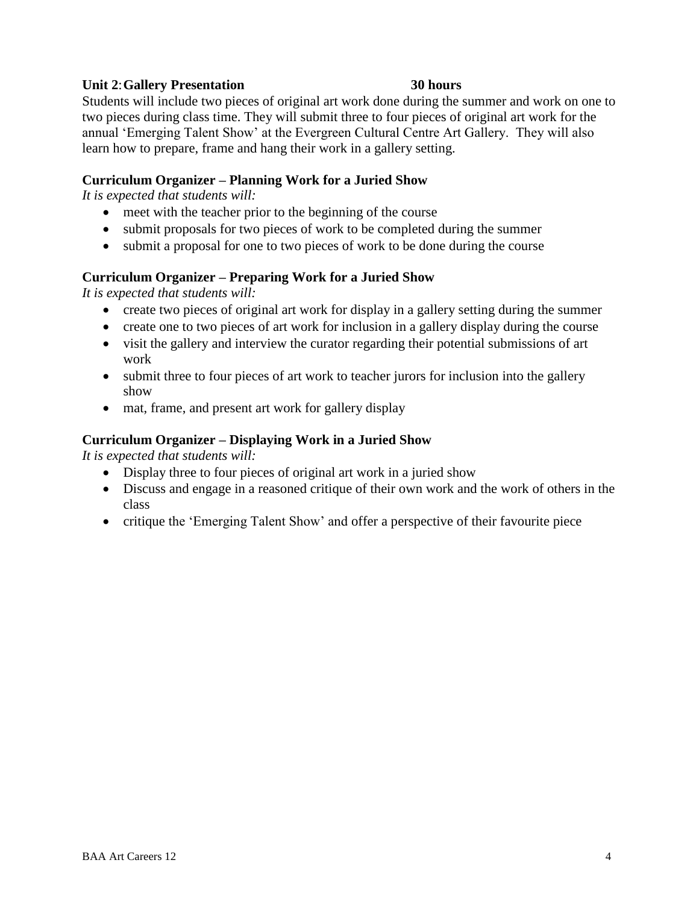# **Unit 2**:**Gallery Presentation 30 hours**

Students will include two pieces of original art work done during the summer and work on one to two pieces during class time. They will submit three to four pieces of original art work for the annual 'Emerging Talent Show' at the Evergreen Cultural Centre Art Gallery. They will also learn how to prepare, frame and hang their work in a gallery setting.

#### **Curriculum Organizer – Planning Work for a Juried Show**

*It is expected that students will:*

- meet with the teacher prior to the beginning of the course
- submit proposals for two pieces of work to be completed during the summer
- submit a proposal for one to two pieces of work to be done during the course

# **Curriculum Organizer – Preparing Work for a Juried Show**

*It is expected that students will:*

- create two pieces of original art work for display in a gallery setting during the summer
- create one to two pieces of art work for inclusion in a gallery display during the course
- visit the gallery and interview the curator regarding their potential submissions of art work
- submit three to four pieces of art work to teacher jurors for inclusion into the gallery show
- mat, frame, and present art work for gallery display

# **Curriculum Organizer – Displaying Work in a Juried Show**

*It is expected that students will:*

- Display three to four pieces of original art work in a juried show
- Discuss and engage in a reasoned critique of their own work and the work of others in the class
- critique the 'Emerging Talent Show' and offer a perspective of their favourite piece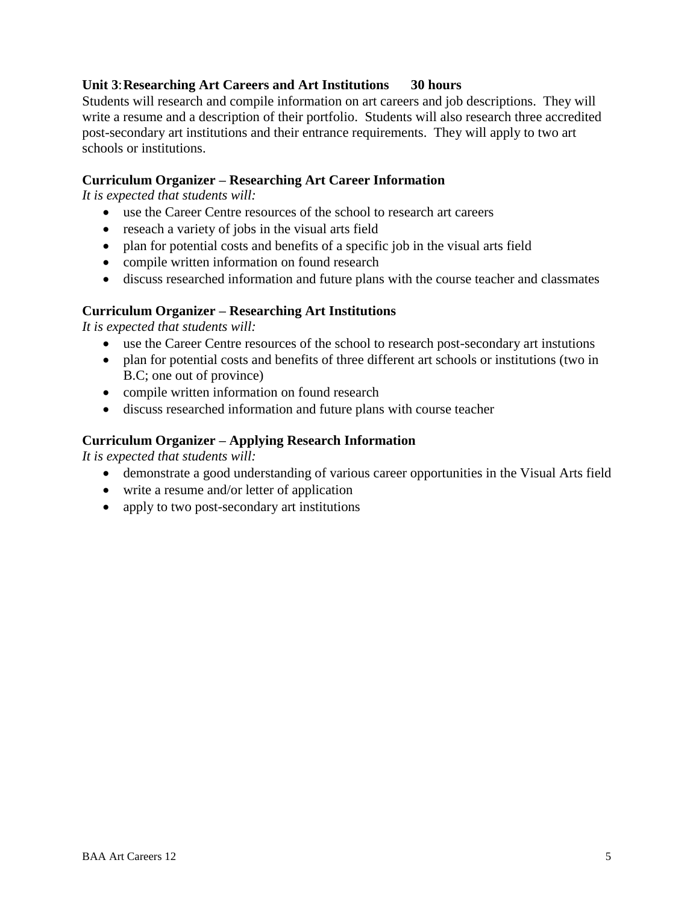# **Unit 3**:**Researching Art Careers and Art Institutions 30 hours**

Students will research and compile information on art careers and job descriptions. They will write a resume and a description of their portfolio. Students will also research three accredited post-secondary art institutions and their entrance requirements. They will apply to two art schools or institutions.

#### **Curriculum Organizer – Researching Art Career Information**

*It is expected that students will:*

- use the Career Centre resources of the school to research art careers
- reseach a variety of jobs in the visual arts field
- plan for potential costs and benefits of a specific job in the visual arts field
- compile written information on found research
- discuss researched information and future plans with the course teacher and classmates

#### **Curriculum Organizer – Researching Art Institutions**

*It is expected that students will:*

- use the Career Centre resources of the school to research post-secondary art instutions
- plan for potential costs and benefits of three different art schools or institutions (two in B.C; one out of province)
- compile written information on found research
- discuss researched information and future plans with course teacher

#### **Curriculum Organizer – Applying Research Information**

*It is expected that students will:*

- demonstrate a good understanding of various career opportunities in the Visual Arts field
- write a resume and/or letter of application
- apply to two post-secondary art institutions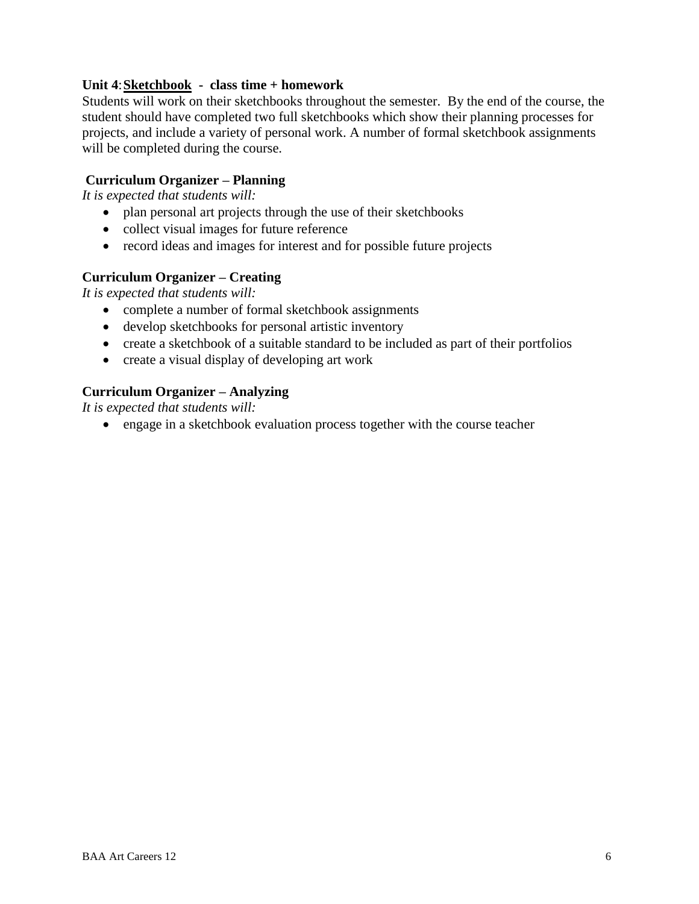# **Unit 4**:**Sketchbook - class time + homework**

Students will work on their sketchbooks throughout the semester. By the end of the course, the student should have completed two full sketchbooks which show their planning processes for projects, and include a variety of personal work. A number of formal sketchbook assignments will be completed during the course.

#### **Curriculum Organizer – Planning**

*It is expected that students will:*

- plan personal art projects through the use of their sketchbooks
- collect visual images for future reference
- record ideas and images for interest and for possible future projects

# **Curriculum Organizer – Creating**

*It is expected that students will:*

- complete a number of formal sketchbook assignments
- develop sketchbooks for personal artistic inventory
- create a sketchbook of a suitable standard to be included as part of their portfolios
- create a visual display of developing art work

# **Curriculum Organizer – Analyzing**

*It is expected that students will:*

engage in a sketchbook evaluation process together with the course teacher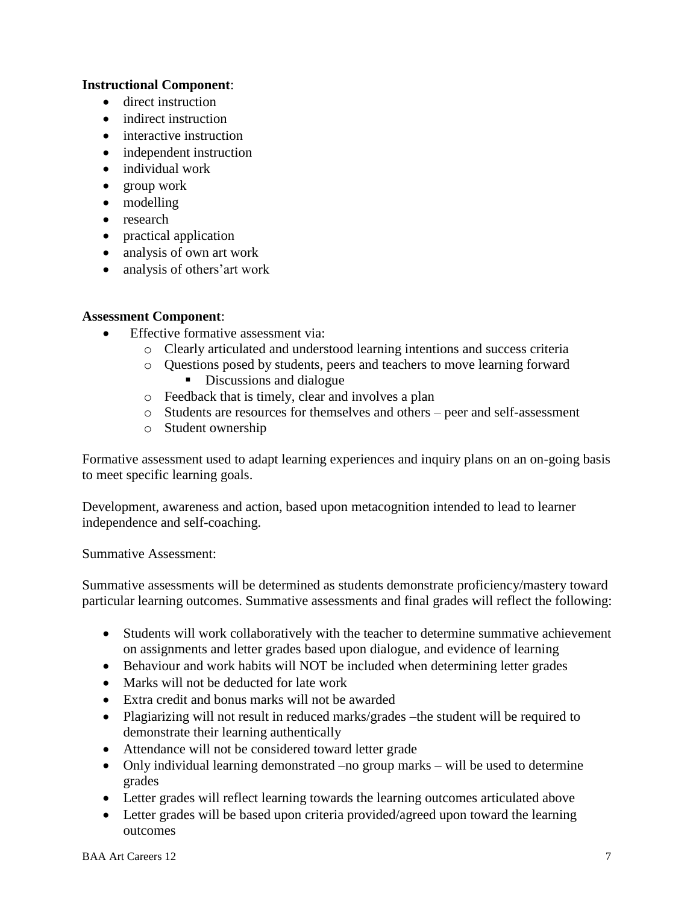# **Instructional Component**:

- direct instruction
- indirect instruction
- interactive instruction
- independent instruction
- individual work
- group work
- modelling
- research
- practical application
- analysis of own art work
- analysis of others' art work

# **Assessment Component**:

- Effective formative assessment via:
	- o Clearly articulated and understood learning intentions and success criteria
	- o Questions posed by students, peers and teachers to move learning forward Discussions and dialogue
		-
	- o Feedback that is timely, clear and involves a plan
	- o Students are resources for themselves and others peer and self-assessment
	- o Student ownership

Formative assessment used to adapt learning experiences and inquiry plans on an on-going basis to meet specific learning goals.

Development, awareness and action, based upon metacognition intended to lead to learner independence and self-coaching.

Summative Assessment:

Summative assessments will be determined as students demonstrate proficiency/mastery toward particular learning outcomes. Summative assessments and final grades will reflect the following:

- Students will work collaboratively with the teacher to determine summative achievement on assignments and letter grades based upon dialogue, and evidence of learning
- Behaviour and work habits will NOT be included when determining letter grades
- Marks will not be deducted for late work
- Extra credit and bonus marks will not be awarded
- Plagiarizing will not result in reduced marks/grades –the student will be required to demonstrate their learning authentically
- Attendance will not be considered toward letter grade
- Only individual learning demonstrated –no group marks will be used to determine grades
- Letter grades will reflect learning towards the learning outcomes articulated above
- Letter grades will be based upon criteria provided/agreed upon toward the learning outcomes